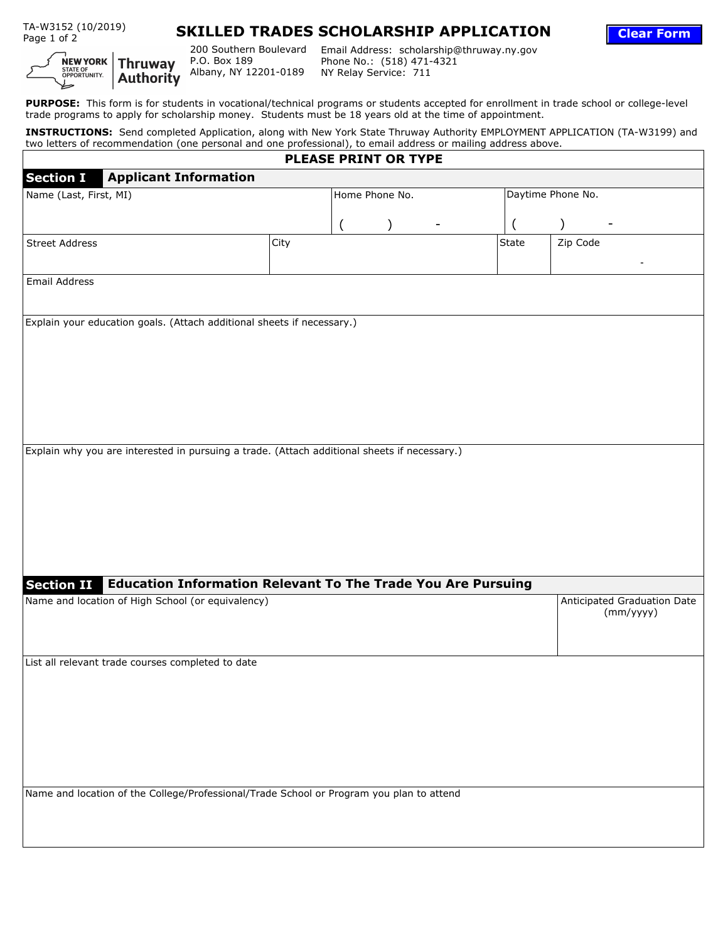TA-W3152 (10/2019)



## **SKILLED TRADES SCHOLARSHIP APPLICATION**



200 Southern Boulevard Email Address: scholarship@thruway.ny.gov Phone No.: (518) 471-4321 NY Relay Service: 711

**Clear Form**

**PURPOSE:** This form is for students in vocational/technical programs or students accepted for enrollment in trade school or college-level trade programs to apply for scholarship money. Students must be 18 years old at the time of appointment.

**INSTRUCTIONS:** Send completed Application, along with New York State Thruway Authority EMPLOYMENT APPLICATION (TA-W3199) and two letters of recommendation (one personal and one professional), to email address or mailing address above.

| <b>PLEASE PRINT OR TYPE</b>                                                                  |      |                |  |  |                      |                                    |  |  |  |  |  |
|----------------------------------------------------------------------------------------------|------|----------------|--|--|----------------------|------------------------------------|--|--|--|--|--|
| <b>Applicant Information</b><br><b>Section I</b>                                             |      |                |  |  |                      |                                    |  |  |  |  |  |
| Name (Last, First, MI)                                                                       |      | Home Phone No. |  |  | Daytime Phone No.    |                                    |  |  |  |  |  |
|                                                                                              |      |                |  |  |                      |                                    |  |  |  |  |  |
|                                                                                              |      |                |  |  |                      |                                    |  |  |  |  |  |
| <b>Street Address</b>                                                                        | City |                |  |  | State                | Zip Code                           |  |  |  |  |  |
|                                                                                              |      |                |  |  | $\blacktriangledown$ |                                    |  |  |  |  |  |
| Email Address                                                                                |      |                |  |  |                      |                                    |  |  |  |  |  |
|                                                                                              |      |                |  |  |                      |                                    |  |  |  |  |  |
| Explain your education goals. (Attach additional sheets if necessary.)                       |      |                |  |  |                      |                                    |  |  |  |  |  |
|                                                                                              |      |                |  |  |                      |                                    |  |  |  |  |  |
|                                                                                              |      |                |  |  |                      |                                    |  |  |  |  |  |
|                                                                                              |      |                |  |  |                      |                                    |  |  |  |  |  |
|                                                                                              |      |                |  |  |                      |                                    |  |  |  |  |  |
|                                                                                              |      |                |  |  |                      |                                    |  |  |  |  |  |
|                                                                                              |      |                |  |  |                      |                                    |  |  |  |  |  |
|                                                                                              |      |                |  |  |                      |                                    |  |  |  |  |  |
| Explain why you are interested in pursuing a trade. (Attach additional sheets if necessary.) |      |                |  |  |                      |                                    |  |  |  |  |  |
|                                                                                              |      |                |  |  |                      |                                    |  |  |  |  |  |
|                                                                                              |      |                |  |  |                      |                                    |  |  |  |  |  |
|                                                                                              |      |                |  |  |                      |                                    |  |  |  |  |  |
|                                                                                              |      |                |  |  |                      |                                    |  |  |  |  |  |
|                                                                                              |      |                |  |  |                      |                                    |  |  |  |  |  |
|                                                                                              |      |                |  |  |                      |                                    |  |  |  |  |  |
|                                                                                              |      |                |  |  |                      |                                    |  |  |  |  |  |
| Section II Education Information Relevant To The Trade You Are Pursuing                      |      |                |  |  |                      |                                    |  |  |  |  |  |
| Name and location of High School (or equivalency)                                            |      |                |  |  |                      | <b>Anticipated Graduation Date</b> |  |  |  |  |  |
|                                                                                              |      |                |  |  |                      | (mm/yyyy)                          |  |  |  |  |  |
|                                                                                              |      |                |  |  |                      |                                    |  |  |  |  |  |
| List all relevant trade courses completed to date                                            |      |                |  |  |                      |                                    |  |  |  |  |  |
|                                                                                              |      |                |  |  |                      |                                    |  |  |  |  |  |
|                                                                                              |      |                |  |  |                      |                                    |  |  |  |  |  |
|                                                                                              |      |                |  |  |                      |                                    |  |  |  |  |  |
|                                                                                              |      |                |  |  |                      |                                    |  |  |  |  |  |
|                                                                                              |      |                |  |  |                      |                                    |  |  |  |  |  |
|                                                                                              |      |                |  |  |                      |                                    |  |  |  |  |  |
|                                                                                              |      |                |  |  |                      |                                    |  |  |  |  |  |
| Name and location of the College/Professional/Trade School or Program you plan to attend     |      |                |  |  |                      |                                    |  |  |  |  |  |
|                                                                                              |      |                |  |  |                      |                                    |  |  |  |  |  |
|                                                                                              |      |                |  |  |                      |                                    |  |  |  |  |  |
|                                                                                              |      |                |  |  |                      |                                    |  |  |  |  |  |